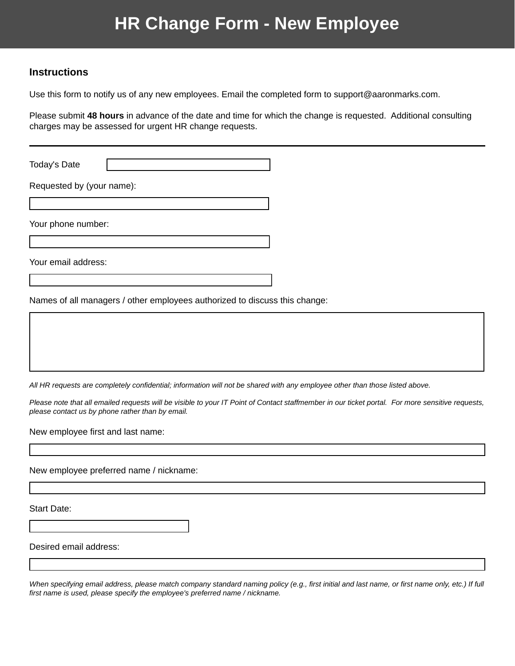## **HR Change Form - New Employee**

## **Instructions**

Use this form to notify us of any new employees. Email the completed form to support@aaronmarks.com.

Please submit **48 hours** in advance of the date and time for which the change is requested. Additional consulting charges may be assessed for urgent HR change requests.

Today's Date

Requested by (your name):

Your phone number:

Your email address:

Names of all managers / other employees authorized to discuss this change:

*All HR requests are completely confidential; information will not be shared with any employee other than those listed above.* 

*Please note that all emailed requests will be visible to your IT Point of Contact staffmember in our ticket portal. For more sensitive requests, please contact us by phone rather than by email.*

New employee first and last name:

New employee preferred name / nickname:

Start Date:

Desired email address:

*When specifying email address, please match company standard naming policy (e.g., first initial and last name, or first name only, etc.) If full first name is used, please specify the employee's preferred name / nickname.*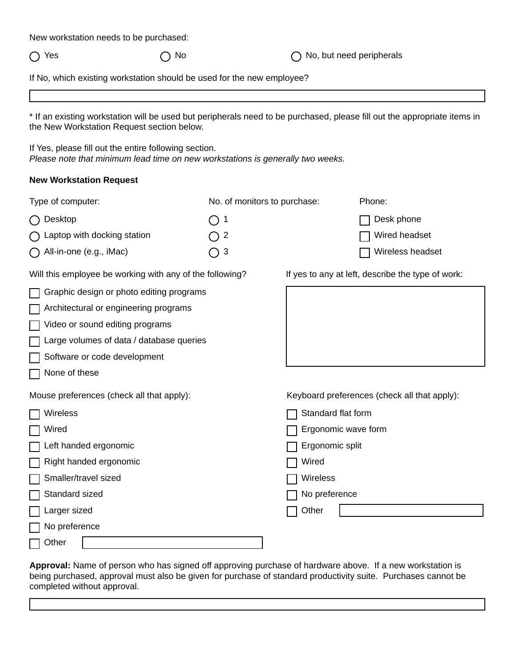| New workstation needs to be purchased: |  |  |
|----------------------------------------|--|--|
|----------------------------------------|--|--|

○ Yes △ No △ No △ No, but need peripherals

If No, which existing workstation should be used for the new employee?

\* If an existing workstation will be used but peripherals need to be purchased, please fill out the appropriate items in the New Workstation Request section below.

If Yes, please fill out the entire following section. *Please note that minimum lead time on new workstations is generally two weeks.* 

## **New Workstation Request**

| Type of computer:                                        | No. of monitors to purchase: |                     | Phone:                                            |
|----------------------------------------------------------|------------------------------|---------------------|---------------------------------------------------|
| Desktop                                                  | 1                            |                     | Desk phone                                        |
| Laptop with docking station                              | $\overline{2}$               |                     | Wired headset                                     |
| All-in-one (e.g., iMac)                                  | $\ensuremath{\mathsf{3}}$    |                     | Wireless headset                                  |
| Will this employee be working with any of the following? |                              |                     | If yes to any at left, describe the type of work: |
| Graphic design or photo editing programs                 |                              |                     |                                                   |
| Architectural or engineering programs                    |                              |                     |                                                   |
| Video or sound editing programs                          |                              |                     |                                                   |
| Large volumes of data / database queries                 |                              |                     |                                                   |
| Software or code development                             |                              |                     |                                                   |
| None of these                                            |                              |                     |                                                   |
| Mouse preferences (check all that apply):                |                              |                     | Keyboard preferences (check all that apply):      |
| Wireless                                                 |                              | Standard flat form  |                                                   |
| Wired                                                    |                              | Ergonomic wave form |                                                   |
| Left handed ergonomic                                    |                              | Ergonomic split     |                                                   |
| Right handed ergonomic                                   |                              | Wired               |                                                   |
| Smaller/travel sized                                     |                              | Wireless            |                                                   |
| Standard sized                                           |                              | No preference       |                                                   |
| Larger sized                                             |                              | Other               |                                                   |
| No preference                                            |                              |                     |                                                   |
| Other                                                    |                              |                     |                                                   |

**Approval:** Name of person who has signed off approving purchase of hardware above. If a new workstation is being purchased, approval must also be given for purchase of standard productivity suite. Purchases cannot be completed without approval.